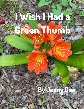## **I Wish I Had a Green Thumb**

## **Benny**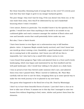See those beautiful, blooming buds of orange lilies on the cover? It's strictly pure luck that they have begin to grow in my meager backyard garden.

The poor things—they won't last for long. If the sun doesn't dry them out, or the rain wash them away, then they'll be obliterated by my son's basketball bouncing where I wish it wouldn't.

I love nature, flowers in particular. You wouldn't know it by the sparsity of my garden. I would love more than anything in this world to sit outside on my cushioned glider and read a romance amongst the rainbow of floral colors and rose and lavender scents that could potentially thrive under my care.

But alas, I have a black thumb.

I have been known to even figure out a subconscious way to kill bamboo plants—twice. A Japanese Maple outside barely survived, and I don't know how one would go about ruining a tree; thankfully, a good landscaper revived it and she is coming back to life somehow. And I know you will tell me this is impossible, but I also had to lay a small little indoor cactus to rest.

I once found these gorgeous Tiger Lilies and planted them in a front yard's lovely landscaping, which was begun and maintained by my then-landlord and his well-paid landscaper, who I would hear talking to the plants on a daily basis.

I was so proud at how they thrived under someone else's care, and admired them every time I passed them. When I moved to California, Mr. Plant Man carefully told me how to care for them, wrapping them up in some special way to make the two-week journey to be re-planted in my new home.

One guess what happened to the floral love of my life. Dead by Mississippi.

I don't try to hurt these beautiful forces of nature. I just don't have a clue as to how to take care of them. It amazes me to this day that I managed to raise two human lives without forgetting to feed, water, shelter and protect them from the elements.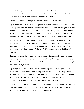The only things that seem to last in my current backyard are the rose bushes that have been there for years and a lavender bush—and even those I can't seem to maintain without loads of dead branches or overgrowth.

I attempt to prune. I attempt to nurture. I attempt to plant more.

My mother had even come out one year to visit and we went to the Home Depot to buy plants that would come back every year. She is a wonderful gardener. She can bring anything back to life. (Except my dead plants). And so, we bought an array of colorful flowers and potting soil and food and mulch and Lord knows what else she put in my basket to turn my Miss Black Thumb to a green one.

Alas, the only thing that has lasted from her determined attempts are these orange lilies and a wild growing jasmine thing. I don't even have the slightest idea how to manage its unkempt wrapping around the trellis. If it wasn't so pretty and smelled so yummy, I'd be terrified I'd be growing a Little Plant of Horrors.

Speaking of Little Shop…there are these prickly things that DO grow without nurturing every year, a horrible thorny weed-tree-evil-thing that I've nicknamed Audrey 2s. There is not enough weed killer in the world, natural or unnatural, to keep those things away!

My daughter has since taken over the nurturing role of watering them every night, and she does have a special way with flowers that I think they want to grow for her. Of course, she gets aggravated that her slowly successful attempts are thwarted by that dang, wayward basketball, but I do believe she is the reason those orange lilies even showed themselves this year.

I have come to terms with the fact that when someone buys me flowers, they last two days; when I plant something new, it's not coming back; that indoor plants are not my friends any more than outdoor plants are.